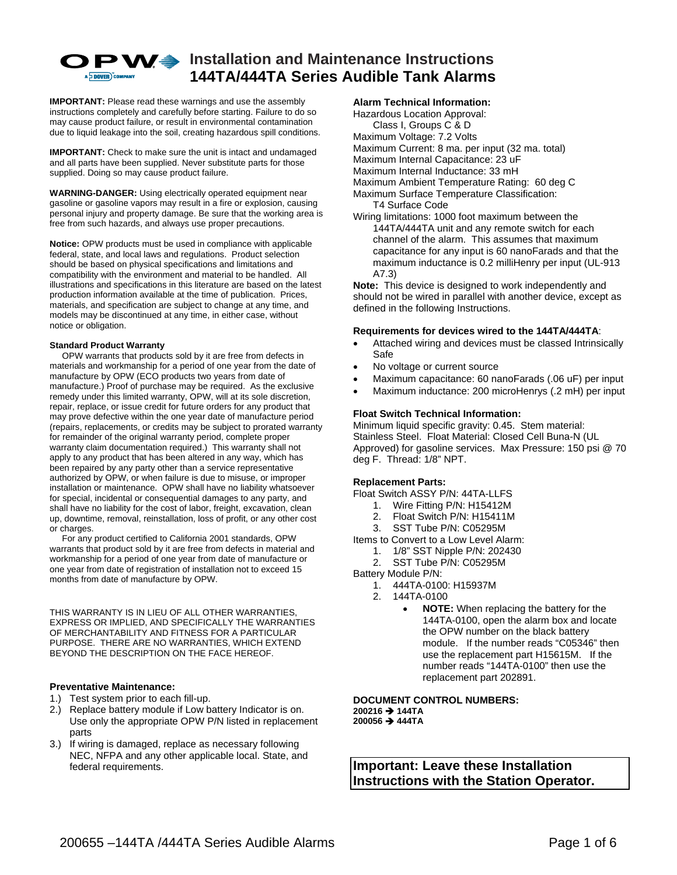

# **O** P W <sup>♦</sup> Installation and Maintenance Instructions **144TA/444TA Series Audible Tank Alarms**

**IMPORTANT:** Please read these warnings and use the assembly instructions completely and carefully before starting. Failure to do so may cause product failure, or result in environmental contamination due to liquid leakage into the soil, creating hazardous spill conditions.

**IMPORTANT:** Check to make sure the unit is intact and undamaged and all parts have been supplied. Never substitute parts for those supplied. Doing so may cause product failure.

**WARNING-DANGER:** Using electrically operated equipment near gasoline or gasoline vapors may result in a fire or explosion, causing personal injury and property damage. Be sure that the working area is free from such hazards, and always use proper precautions.

**Notice:** OPW products must be used in compliance with applicable federal, state, and local laws and regulations. Product selection should be based on physical specifications and limitations and compatibility with the environment and material to be handled. All illustrations and specifications in this literature are based on the latest production information available at the time of publication. Prices, materials, and specification are subject to change at any time, and models may be discontinued at any time, in either case, without notice or obligation.

#### **Standard Product Warranty**

 OPW warrants that products sold by it are free from defects in materials and workmanship for a period of one year from the date of manufacture by OPW (ECO products two years from date of manufacture.) Proof of purchase may be required. As the exclusive remedy under this limited warranty, OPW, will at its sole discretion, repair, replace, or issue credit for future orders for any product that may prove defective within the one year date of manufacture period (repairs, replacements, or credits may be subject to prorated warranty for remainder of the original warranty period, complete proper warranty claim documentation required.) This warranty shall not apply to any product that has been altered in any way, which has been repaired by any party other than a service representative authorized by OPW, or when failure is due to misuse, or improper installation or maintenance. OPW shall have no liability whatsoever for special, incidental or consequential damages to any party, and shall have no liability for the cost of labor, freight, excavation, clean up, downtime, removal, reinstallation, loss of profit, or any other cost or charges.

 For any product certified to California 2001 standards, OPW warrants that product sold by it are free from defects in material and workmanship for a period of one year from date of manufacture or one year from date of registration of installation not to exceed 15 months from date of manufacture by OPW.

THIS WARRANTY IS IN LIEU OF ALL OTHER WARRANTIES, EXPRESS OR IMPLIED, AND SPECIFICALLY THE WARRANTIES OF MERCHANTABILITY AND FITNESS FOR A PARTICULAR PURPOSE. THERE ARE NO WARRANTIES, WHICH EXTEND BEYOND THE DESCRIPTION ON THE FACE HEREOF.

#### **Preventative Maintenance:**

- 1.) Test system prior to each fill-up.
- 2.) Replace battery module if Low battery Indicator is on. Use only the appropriate OPW P/N listed in replacement parts
- 3.) If wiring is damaged, replace as necessary following NEC, NFPA and any other applicable local. State, and federal requirements.

#### **Alarm Technical Information:**

Hazardous Location Approval: Class I, Groups C & D Maximum Voltage: 7.2 Volts Maximum Current: 8 ma. per input (32 ma. total) Maximum Internal Capacitance: 23 uF Maximum Internal Inductance: 33 mH Maximum Ambient Temperature Rating: 60 deg C

Maximum Surface Temperature Classification:

T4 Surface Code

Wiring limitations: 1000 foot maximum between the 144TA/444TA unit and any remote switch for each channel of the alarm. This assumes that maximum capacitance for any input is 60 nanoFarads and that the maximum inductance is 0.2 milliHenry per input (UL-913 A7.3)

**Note:** This device is designed to work independently and should not be wired in parallel with another device, except as defined in the following Instructions.

#### **Requirements for devices wired to the 144TA/444TA**:

- Attached wiring and devices must be classed Intrinsically Safe
- No voltage or current source
- Maximum capacitance: 60 nanoFarads (.06 uF) per input
- Maximum inductance: 200 microHenrys (.2 mH) per input

## **Float Switch Technical Information:**

Minimum liquid specific gravity: 0.45. Stem material: Stainless Steel. Float Material: Closed Cell Buna-N (UL Approved) for gasoline services. Max Pressure: 150 psi @ 70 deg F. Thread: 1/8" NPT.

#### **Replacement Parts:**

Float Switch ASSY P/N: 44TA-LLFS

- 1. Wire Fitting P/N: H15412M
- 2. Float Switch P/N: H15411M
- 3. SST Tube P/N: C05295M

Items to Convert to a Low Level Alarm:

- 1. 1/8" SST Nipple P/N: 202430
- 2. SST Tube P/N: C05295M

Battery Module P/N:

- 1. 444TA-0100: H15937M
- 2. 144TA-0100
	- **NOTE:** When replacing the battery for the 144TA-0100, open the alarm box and locate the OPW number on the black battery module. If the number reads "C05346" then use the replacement part H15615M. If the number reads "144TA-0100" then use the replacement part 202891.

**DOCUMENT CONTROL NUMBERS: 200216 → 144TA 200056 → 444TA** 

**Important: Leave these Installation Instructions with the Station Operator.**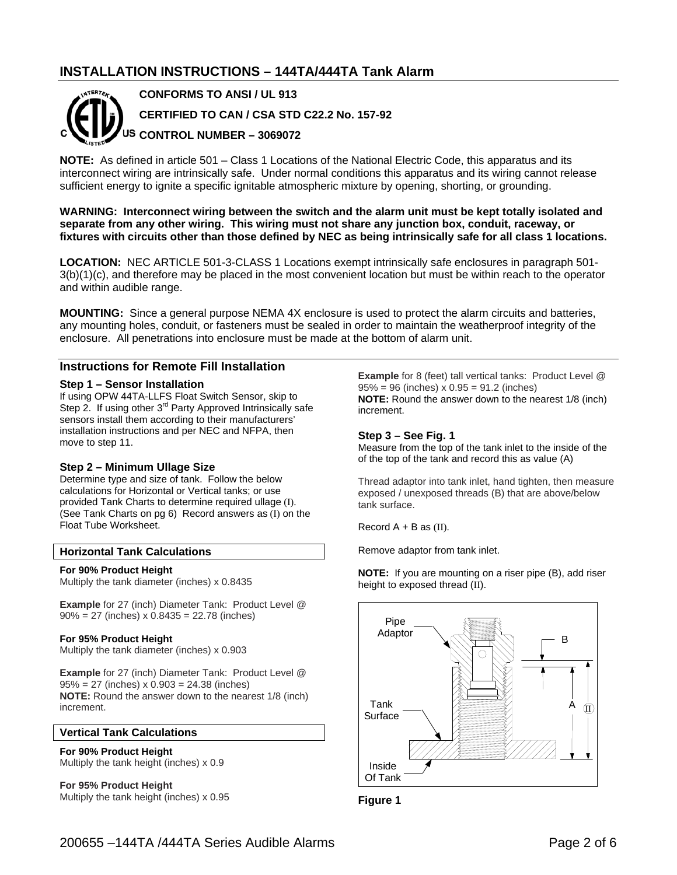## **INSTALLATION INSTRUCTIONS – 144TA/444TA Tank Alarm**



**CONFORMS TO ANSI / UL 913 CERTIFIED TO CAN / CSA STD C22.2 No. 157-92 CONTROL NUMBER – 3069072** 

**NOTE:** As defined in article 501 – Class 1 Locations of the National Electric Code, this apparatus and its interconnect wiring are intrinsically safe. Under normal conditions this apparatus and its wiring cannot release sufficient energy to ignite a specific ignitable atmospheric mixture by opening, shorting, or grounding.

**WARNING: Interconnect wiring between the switch and the alarm unit must be kept totally isolated and separate from any other wiring. This wiring must not share any junction box, conduit, raceway, or fixtures with circuits other than those defined by NEC as being intrinsically safe for all class 1 locations.** 

**LOCATION:** NEC ARTICLE 501-3-CLASS 1 Locations exempt intrinsically safe enclosures in paragraph 501- 3(b)(1)(c), and therefore may be placed in the most convenient location but must be within reach to the operator and within audible range.

**MOUNTING:** Since a general purpose NEMA 4X enclosure is used to protect the alarm circuits and batteries, any mounting holes, conduit, or fasteners must be sealed in order to maintain the weatherproof integrity of the enclosure. All penetrations into enclosure must be made at the bottom of alarm unit.

## **Instructions for Remote Fill Installation**

#### **Step 1 – Sensor Installation**

If using OPW 44TA-LLFS Float Switch Sensor, skip to Step 2. If using other 3<sup>rd</sup> Party Approved Intrinsically safe sensors install them according to their manufacturers' installation instructions and per NEC and NFPA, then move to step 11.

#### **Step 2 – Minimum Ullage Size**

Determine type and size of tank. Follow the below calculations for Horizontal or Vertical tanks; or use provided Tank Charts to determine required ullage (I). (See Tank Charts on pg 6) Record answers as (I) on the Float Tube Worksheet.

#### **Horizontal Tank Calculations**

#### **For 90% Product Height**

Multiply the tank diameter (inches) x 0.8435

**Example** for 27 (inch) Diameter Tank: Product Level @ 90% = 27 (inches) x 0.8435 = 22.78 (inches)

#### **For 95% Product Height**

Multiply the tank diameter (inches) x 0.903

**Example** for 27 (inch) Diameter Tank: Product Level @ 95% = 27 (inches) x 0.903 = 24.38 (inches) **NOTE:** Round the answer down to the nearest 1/8 (inch) increment.

## **Vertical Tank Calculations**

**For 90% Product Height** Multiply the tank height (inches) x 0.9

**For 95% Product Height**  Multiply the tank height (inches) x 0.95 **Example** for 8 (feet) tall vertical tanks: Product Level @  $95\% = 96$  (inches)  $x 0.95 = 91.2$  (inches) **NOTE:** Round the answer down to the nearest 1/8 (inch) increment.

#### **Step 3 – See Fig. 1**

Measure from the top of the tank inlet to the inside of the of the top of the tank and record this as value (A)

Thread adaptor into tank inlet, hand tighten, then measure exposed / unexposed threads (B) that are above/below tank surface.

Record  $A + B$  as  $(II)$ .

Remove adaptor from tank inlet.

**NOTE:** If you are mounting on a riser pipe (B), add riser height to exposed thread (II).



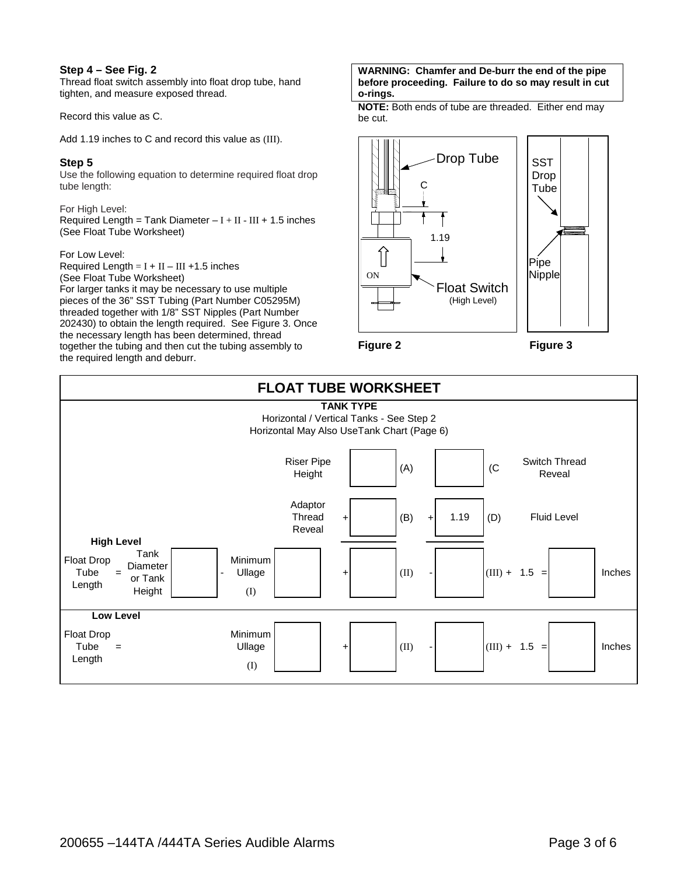## **Step 4 – See Fig. 2**

Thread float switch assembly into float drop tube, hand tighten, and measure exposed thread.

Record this value as C.

Add 1.19 inches to C and record this value as (III).

## **Step 5**

Use the following equation to determine required float drop tube length:

For High Level: Required Length = Tank Diameter  $-I + II - III + 1.5$  inches (See Float Tube Worksheet)

## For Low Level:

Required Length =  $I + II - III + 1.5$  inches (See Float Tube Worksheet) For larger tanks it may be necessary to use multiple pieces of the 36" SST Tubing (Part Number C05295M) threaded together with 1/8" SST Nipples (Part Number 202430) to obtain the length required. See Figure 3. Once the necessary length has been determined, thread together the tubing and then cut the tubing assembly to the required length and deburr.

#### **WARNING: Chamfer and De-burr the end of the pipe before proceeding. Failure to do so may result in cut o-rings.**

**NOTE:** Both ends of tube are threaded. Either end may be cut.



**Figure 2 Figure 3**

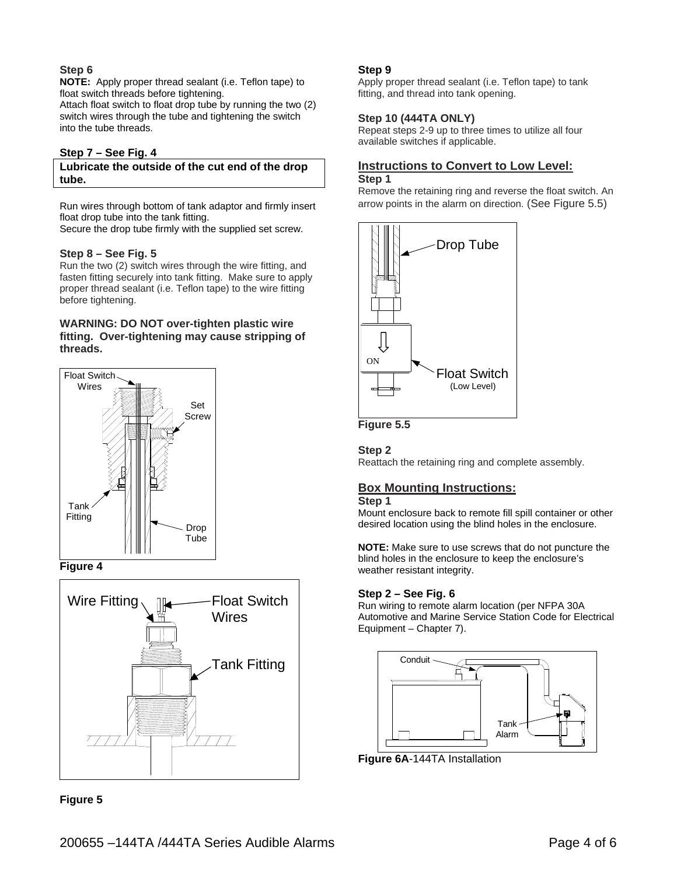## **Step 6**

**NOTE:** Apply proper thread sealant (i.e. Teflon tape) to float switch threads before tightening.

Attach float switch to float drop tube by running the two (2) switch wires through the tube and tightening the switch into the tube threads.

## **Step 7 – See Fig. 4**

## **Lubricate the outside of the cut end of the drop tube.**

Run wires through bottom of tank adaptor and firmly insert float drop tube into the tank fitting.

Secure the drop tube firmly with the supplied set screw.

#### **Step 8 – See Fig. 5**

Run the two (2) switch wires through the wire fitting, and fasten fitting securely into tank fitting. Make sure to apply proper thread sealant (i.e. Teflon tape) to the wire fitting before tightening.

## **WARNING: DO NOT over-tighten plastic wire fitting. Over-tightening may cause stripping of threads.**









## **Step 9**

Apply proper thread sealant (i.e. Teflon tape) to tank fitting, and thread into tank opening.

#### **Step 10 (444TA ONLY)**

Repeat steps 2-9 up to three times to utilize all four available switches if applicable.

## **Instructions to Convert to Low Level: Step 1**

Remove the retaining ring and reverse the float switch. An arrow points in the alarm on direction. (See Figure 5.5)





## **Step 2**

Reattach the retaining ring and complete assembly.

## **Box Mounting Instructions:**

## **Step 1**

Mount enclosure back to remote fill spill container or other desired location using the blind holes in the enclosure.

**NOTE:** Make sure to use screws that do not puncture the blind holes in the enclosure to keep the enclosure's weather resistant integrity.

## **Step 2 – See Fig. 6**

Run wiring to remote alarm location (per NFPA 30A Automotive and Marine Service Station Code for Electrical Equipment – Chapter 7).



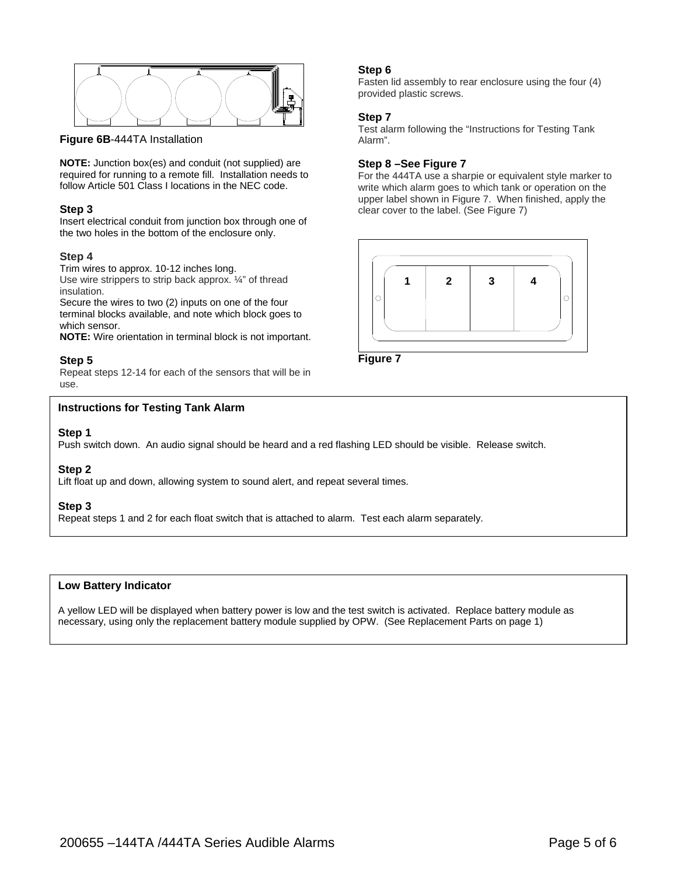

**Figure 6B**-444TA Installation

**NOTE:** Junction box(es) and conduit (not supplied) are required for running to a remote fill. Installation needs to follow Article 501 Class I locations in the NEC code.

## **Step 3**

Insert electrical conduit from junction box through one of the two holes in the bottom of the enclosure only.

## **Step 4**

Trim wires to approx. 10-12 inches long. Use wire strippers to strip back approx. ¼" of thread insulation.

Secure the wires to two (2) inputs on one of the four terminal blocks available, and note which block goes to which sensor.

**NOTE:** Wire orientation in terminal block is not important.

## **Step 5**

Repeat steps 12-14 for each of the sensors that will be in use.

## **Instructions for Testing Tank Alarm**

## **Step 1**

**эtер т**<br>Push switch down. An audio signal should be heard and a red flashing LED should be visible. Release switch.

## **Step 2**

Lift float up and down, allowing system to sound alert, and repeat several times.

#### **Step 3**

Repeat steps 1 and 2 for each float switch that is attached to alarm. Test each alarm separately.

## **Low Battery Indicator**

A yellow LED will be displayed when battery power is low and the test switch is activated. Replace battery module as necessary, using only the replacement battery module supplied by OPW. (See Replacement Parts on page 1)

#### **Step 6**

Fasten lid assembly to rear enclosure using the four (4) provided plastic screws.

## **Step 7**

Test alarm following the "Instructions for Testing Tank Alarm".

## **Step 8 –See Figure 7**

For the 444TA use a sharpie or equivalent style marker to write which alarm goes to which tank or operation on the upper label shown in Figure 7. When finished, apply the clear cover to the label. (See Figure 7)